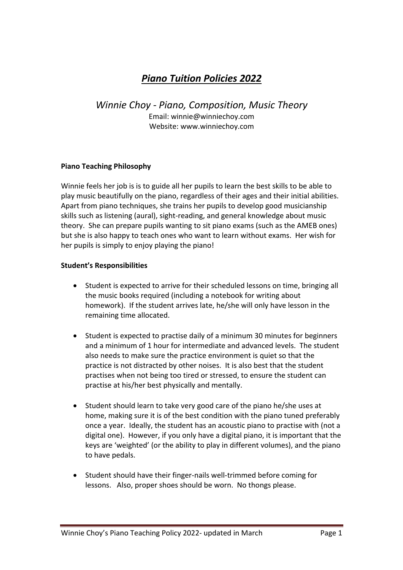# *Piano Tuition Policies 2022*

*Winnie Choy - Piano, Composition, Music Theory* Email: winnie@winniechoy.com Website: www.winniechoy.com

## **Piano Teaching Philosophy**

Winnie feels her job is is to guide all her pupils to learn the best skills to be able to play music beautifully on the piano, regardless of their ages and their initial abilities. Apart from piano techniques, she trains her pupils to develop good musicianship skills such as listening (aural), sight-reading, and general knowledge about music theory. She can prepare pupils wanting to sit piano exams (such as the AMEB ones) but she is also happy to teach ones who want to learn without exams. Her wish for her pupils is simply to enjoy playing the piano!

#### **Student's Responsibilities**

- Student is expected to arrive for their scheduled lessons on time, bringing all the music books required (including a notebook for writing about homework). If the student arrives late, he/she will only have lesson in the remaining time allocated.
- Student is expected to practise daily of a minimum 30 minutes for beginners and a minimum of 1 hour for intermediate and advanced levels. The student also needs to make sure the practice environment is quiet so that the practice is not distracted by other noises. It is also best that the student practises when not being too tired or stressed, to ensure the student can practise at his/her best physically and mentally.
- Student should learn to take very good care of the piano he/she uses at home, making sure it is of the best condition with the piano tuned preferably once a year. Ideally, the student has an acoustic piano to practise with (not a digital one). However, if you only have a digital piano, it is important that the keys are 'weighted' (or the ability to play in different volumes), and the piano to have pedals.
- Student should have their finger-nails well-trimmed before coming for lessons. Also, proper shoes should be worn. No thongs please.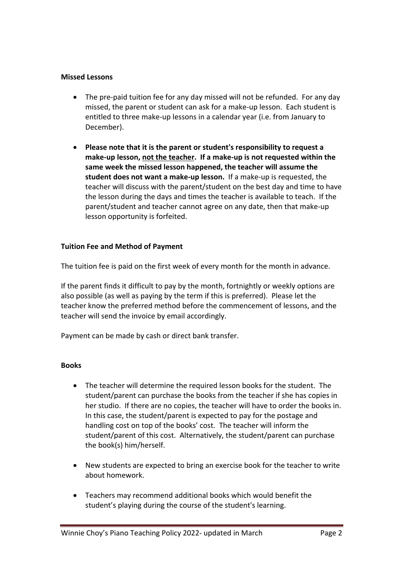## **Missed Lessons**

- The pre-paid tuition fee for any day missed will not be refunded. For any day missed, the parent or student can ask for a make-up lesson. Each student is entitled to three make-up lessons in a calendar year (i.e. from January to December).
- **Please note that it is the parent or student's responsibility to request a make-up lesson, not the teacher. If a make-up is not requested within the same week the missed lesson happened, the teacher will assume the student does not want a make-up lesson.** If a make-up is requested, the teacher will discuss with the parent/student on the best day and time to have the lesson during the days and times the teacher is available to teach. If the parent/student and teacher cannot agree on any date, then that make-up lesson opportunity is forfeited.

# **Tuition Fee and Method of Payment**

The tuition fee is paid on the first week of every month for the month in advance.

If the parent finds it difficult to pay by the month, fortnightly or weekly options are also possible (as well as paying by the term if this is preferred). Please let the teacher know the preferred method before the commencement of lessons, and the teacher will send the invoice by email accordingly.

Payment can be made by cash or direct bank transfer.

#### **Books**

- The teacher will determine the required lesson books for the student. The student/parent can purchase the books from the teacher if she has copies in her studio. If there are no copies, the teacher will have to order the books in. In this case, the student/parent is expected to pay for the postage and handling cost on top of the books' cost. The teacher will inform the student/parent of this cost. Alternatively, the student/parent can purchase the book(s) him/herself.
- New students are expected to bring an exercise book for the teacher to write about homework.
- Teachers may recommend additional books which would benefit the student's playing during the course of the student's learning.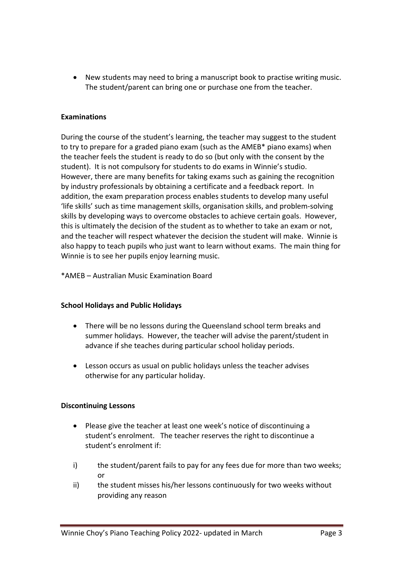• New students may need to bring a manuscript book to practise writing music. The student/parent can bring one or purchase one from the teacher.

## **Examinations**

During the course of the student's learning, the teacher may suggest to the student to try to prepare for a graded piano exam (such as the AMEB\* piano exams) when the teacher feels the student is ready to do so (but only with the consent by the student). It is not compulsory for students to do exams in Winnie's studio. However, there are many benefits for taking exams such as gaining the recognition by industry professionals by obtaining a certificate and a feedback report. In addition, the exam preparation process enables students to develop many useful 'life skills' such as time management skills, organisation skills, and problem-solving skills by developing ways to overcome obstacles to achieve certain goals. However, this is ultimately the decision of the student as to whether to take an exam or not, and the teacher will respect whatever the decision the student will make. Winnie is also happy to teach pupils who just want to learn without exams. The main thing for Winnie is to see her pupils enjoy learning music.

\*AMEB – Australian Music Examination Board

#### **School Holidays and Public Holidays**

- There will be no lessons during the Queensland school term breaks and summer holidays. However, the teacher will advise the parent/student in advance if she teaches during particular school holiday periods.
- Lesson occurs as usual on public holidays unless the teacher advises otherwise for any particular holiday.

# **Discontinuing Lessons**

- Please give the teacher at least one week's notice of discontinuing a student's enrolment. The teacher reserves the right to discontinue a student's enrolment if:
- i) the student/parent fails to pay for any fees due for more than two weeks; or
- ii) the student misses his/her lessons continuously for two weeks without providing any reason